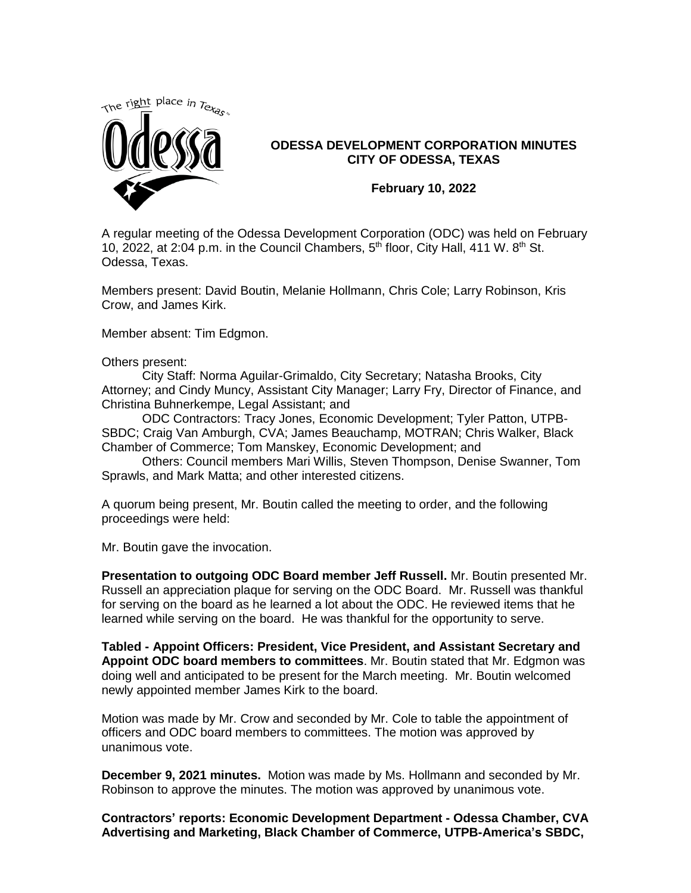

## **ODESSA DEVELOPMENT CORPORATION MINUTES CITY OF ODESSA, TEXAS**

**February 10, 2022**

A regular meeting of the Odessa Development Corporation (ODC) was held on February 10, 2022, at 2:04 p.m. in the Council Chambers,  $5<sup>th</sup>$  floor, City Hall, 411 W.  $8<sup>th</sup>$  St. Odessa, Texas.

Members present: David Boutin, Melanie Hollmann, Chris Cole; Larry Robinson, Kris Crow, and James Kirk.

Member absent: Tim Edgmon.

Others present:

City Staff: Norma Aguilar-Grimaldo, City Secretary; Natasha Brooks, City Attorney; and Cindy Muncy, Assistant City Manager; Larry Fry, Director of Finance, and Christina Buhnerkempe, Legal Assistant; and

ODC Contractors: Tracy Jones, Economic Development; Tyler Patton, UTPB-SBDC; Craig Van Amburgh, CVA; James Beauchamp, MOTRAN; Chris Walker, Black Chamber of Commerce; Tom Manskey, Economic Development; and

Others: Council members Mari Willis, Steven Thompson, Denise Swanner, Tom Sprawls, and Mark Matta; and other interested citizens.

A quorum being present, Mr. Boutin called the meeting to order, and the following proceedings were held:

Mr. Boutin gave the invocation.

**Presentation to outgoing ODC Board member Jeff Russell.** Mr. Boutin presented Mr. Russell an appreciation plaque for serving on the ODC Board. Mr. Russell was thankful for serving on the board as he learned a lot about the ODC. He reviewed items that he learned while serving on the board. He was thankful for the opportunity to serve.

**Tabled - Appoint Officers: President, Vice President, and Assistant Secretary and Appoint ODC board members to committees**. Mr. Boutin stated that Mr. Edgmon was doing well and anticipated to be present for the March meeting. Mr. Boutin welcomed newly appointed member James Kirk to the board.

Motion was made by Mr. Crow and seconded by Mr. Cole to table the appointment of officers and ODC board members to committees. The motion was approved by unanimous vote.

**December 9, 2021 minutes.** Motion was made by Ms. Hollmann and seconded by Mr. Robinson to approve the minutes. The motion was approved by unanimous vote.

**Contractors' reports: Economic Development Department - Odessa Chamber, CVA Advertising and Marketing, Black Chamber of Commerce, UTPB-America's SBDC,**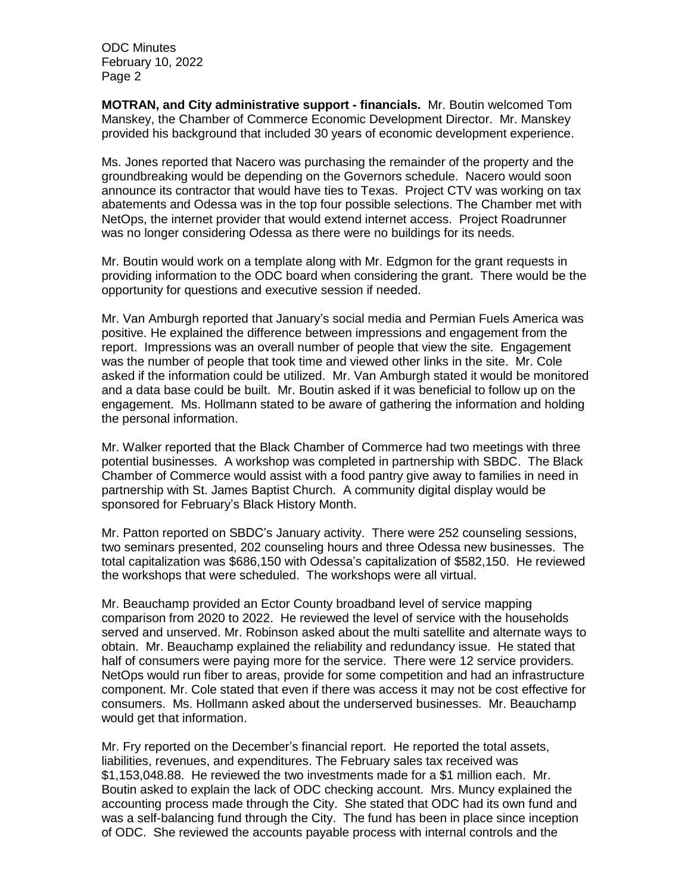**MOTRAN, and City administrative support - financials.** Mr. Boutin welcomed Tom Manskey, the Chamber of Commerce Economic Development Director. Mr. Manskey provided his background that included 30 years of economic development experience.

Ms. Jones reported that Nacero was purchasing the remainder of the property and the groundbreaking would be depending on the Governors schedule. Nacero would soon announce its contractor that would have ties to Texas. Project CTV was working on tax abatements and Odessa was in the top four possible selections. The Chamber met with NetOps, the internet provider that would extend internet access. Project Roadrunner was no longer considering Odessa as there were no buildings for its needs.

Mr. Boutin would work on a template along with Mr. Edgmon for the grant requests in providing information to the ODC board when considering the grant. There would be the opportunity for questions and executive session if needed.

Mr. Van Amburgh reported that January's social media and Permian Fuels America was positive. He explained the difference between impressions and engagement from the report. Impressions was an overall number of people that view the site. Engagement was the number of people that took time and viewed other links in the site. Mr. Cole asked if the information could be utilized. Mr. Van Amburgh stated it would be monitored and a data base could be built. Mr. Boutin asked if it was beneficial to follow up on the engagement. Ms. Hollmann stated to be aware of gathering the information and holding the personal information.

Mr. Walker reported that the Black Chamber of Commerce had two meetings with three potential businesses. A workshop was completed in partnership with SBDC. The Black Chamber of Commerce would assist with a food pantry give away to families in need in partnership with St. James Baptist Church. A community digital display would be sponsored for February's Black History Month.

Mr. Patton reported on SBDC's January activity. There were 252 counseling sessions, two seminars presented, 202 counseling hours and three Odessa new businesses. The total capitalization was \$686,150 with Odessa's capitalization of \$582,150. He reviewed the workshops that were scheduled. The workshops were all virtual.

Mr. Beauchamp provided an Ector County broadband level of service mapping comparison from 2020 to 2022. He reviewed the level of service with the households served and unserved. Mr. Robinson asked about the multi satellite and alternate ways to obtain. Mr. Beauchamp explained the reliability and redundancy issue. He stated that half of consumers were paying more for the service. There were 12 service providers. NetOps would run fiber to areas, provide for some competition and had an infrastructure component. Mr. Cole stated that even if there was access it may not be cost effective for consumers. Ms. Hollmann asked about the underserved businesses. Mr. Beauchamp would get that information.

Mr. Fry reported on the December's financial report. He reported the total assets, liabilities, revenues, and expenditures. The February sales tax received was \$1,153,048.88. He reviewed the two investments made for a \$1 million each. Mr. Boutin asked to explain the lack of ODC checking account. Mrs. Muncy explained the accounting process made through the City. She stated that ODC had its own fund and was a self-balancing fund through the City. The fund has been in place since inception of ODC. She reviewed the accounts payable process with internal controls and the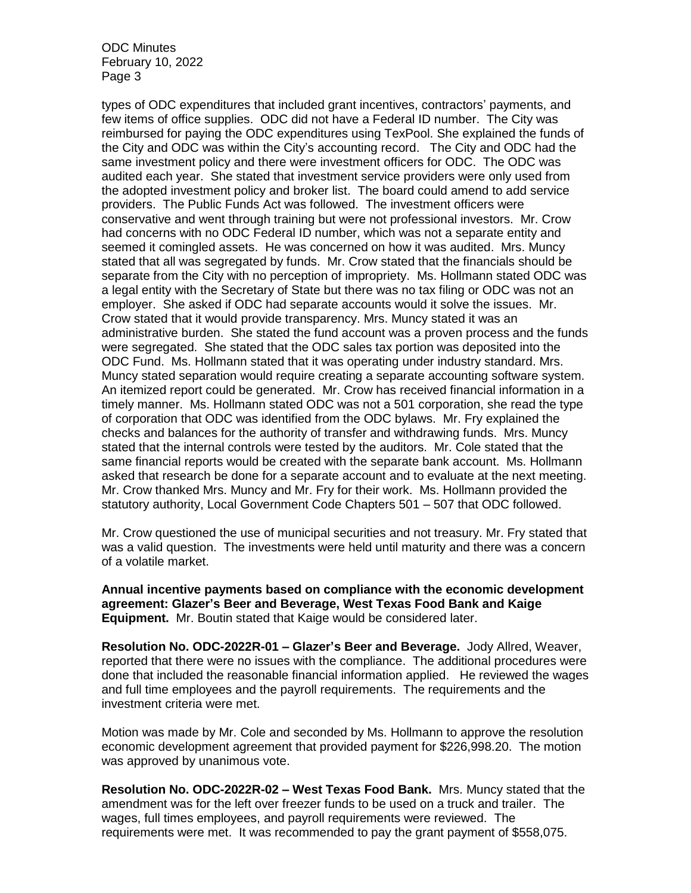types of ODC expenditures that included grant incentives, contractors' payments, and few items of office supplies. ODC did not have a Federal ID number. The City was reimbursed for paying the ODC expenditures using TexPool. She explained the funds of the City and ODC was within the City's accounting record. The City and ODC had the same investment policy and there were investment officers for ODC. The ODC was audited each year. She stated that investment service providers were only used from the adopted investment policy and broker list. The board could amend to add service providers. The Public Funds Act was followed. The investment officers were conservative and went through training but were not professional investors. Mr. Crow had concerns with no ODC Federal ID number, which was not a separate entity and seemed it comingled assets. He was concerned on how it was audited. Mrs. Muncy stated that all was segregated by funds. Mr. Crow stated that the financials should be separate from the City with no perception of impropriety. Ms. Hollmann stated ODC was a legal entity with the Secretary of State but there was no tax filing or ODC was not an employer. She asked if ODC had separate accounts would it solve the issues. Mr. Crow stated that it would provide transparency. Mrs. Muncy stated it was an administrative burden. She stated the fund account was a proven process and the funds were segregated. She stated that the ODC sales tax portion was deposited into the ODC Fund. Ms. Hollmann stated that it was operating under industry standard. Mrs. Muncy stated separation would require creating a separate accounting software system. An itemized report could be generated. Mr. Crow has received financial information in a timely manner. Ms. Hollmann stated ODC was not a 501 corporation, she read the type of corporation that ODC was identified from the ODC bylaws. Mr. Fry explained the checks and balances for the authority of transfer and withdrawing funds. Mrs. Muncy stated that the internal controls were tested by the auditors. Mr. Cole stated that the same financial reports would be created with the separate bank account. Ms. Hollmann asked that research be done for a separate account and to evaluate at the next meeting. Mr. Crow thanked Mrs. Muncy and Mr. Fry for their work. Ms. Hollmann provided the statutory authority, Local Government Code Chapters 501 – 507 that ODC followed.

Mr. Crow questioned the use of municipal securities and not treasury. Mr. Fry stated that was a valid question. The investments were held until maturity and there was a concern of a volatile market.

**Annual incentive payments based on compliance with the economic development agreement: Glazer's Beer and Beverage, West Texas Food Bank and Kaige Equipment.** Mr. Boutin stated that Kaige would be considered later.

**Resolution No. ODC-2022R-01 – Glazer's Beer and Beverage.** Jody Allred, Weaver, reported that there were no issues with the compliance. The additional procedures were done that included the reasonable financial information applied. He reviewed the wages and full time employees and the payroll requirements. The requirements and the investment criteria were met.

Motion was made by Mr. Cole and seconded by Ms. Hollmann to approve the resolution economic development agreement that provided payment for \$226,998.20. The motion was approved by unanimous vote.

**Resolution No. ODC-2022R-02 – West Texas Food Bank.** Mrs. Muncy stated that the amendment was for the left over freezer funds to be used on a truck and trailer. The wages, full times employees, and payroll requirements were reviewed. The requirements were met. It was recommended to pay the grant payment of \$558,075.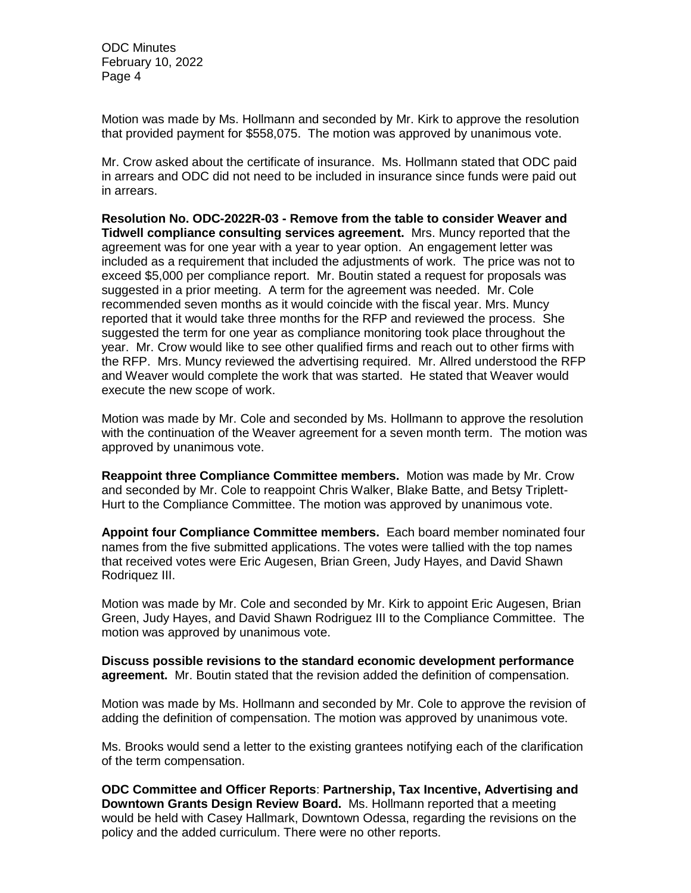Motion was made by Ms. Hollmann and seconded by Mr. Kirk to approve the resolution that provided payment for \$558,075. The motion was approved by unanimous vote.

Mr. Crow asked about the certificate of insurance. Ms. Hollmann stated that ODC paid in arrears and ODC did not need to be included in insurance since funds were paid out in arrears.

**Resolution No. ODC-2022R-03 - Remove from the table to consider Weaver and Tidwell compliance consulting services agreement.** Mrs. Muncy reported that the agreement was for one year with a year to year option. An engagement letter was included as a requirement that included the adjustments of work. The price was not to exceed \$5,000 per compliance report. Mr. Boutin stated a request for proposals was suggested in a prior meeting. A term for the agreement was needed. Mr. Cole recommended seven months as it would coincide with the fiscal year. Mrs. Muncy reported that it would take three months for the RFP and reviewed the process. She suggested the term for one year as compliance monitoring took place throughout the year. Mr. Crow would like to see other qualified firms and reach out to other firms with the RFP. Mrs. Muncy reviewed the advertising required. Mr. Allred understood the RFP and Weaver would complete the work that was started. He stated that Weaver would execute the new scope of work.

Motion was made by Mr. Cole and seconded by Ms. Hollmann to approve the resolution with the continuation of the Weaver agreement for a seven month term. The motion was approved by unanimous vote.

**Reappoint three Compliance Committee members.** Motion was made by Mr. Crow and seconded by Mr. Cole to reappoint Chris Walker, Blake Batte, and Betsy Triplett-Hurt to the Compliance Committee. The motion was approved by unanimous vote.

**Appoint four Compliance Committee members.** Each board member nominated four names from the five submitted applications. The votes were tallied with the top names that received votes were Eric Augesen, Brian Green, Judy Hayes, and David Shawn Rodriquez III.

Motion was made by Mr. Cole and seconded by Mr. Kirk to appoint Eric Augesen, Brian Green, Judy Hayes, and David Shawn Rodriguez III to the Compliance Committee. The motion was approved by unanimous vote.

**Discuss possible revisions to the standard economic development performance agreement.** Mr. Boutin stated that the revision added the definition of compensation.

Motion was made by Ms. Hollmann and seconded by Mr. Cole to approve the revision of adding the definition of compensation. The motion was approved by unanimous vote.

Ms. Brooks would send a letter to the existing grantees notifying each of the clarification of the term compensation.

**ODC Committee and Officer Reports**: **Partnership, Tax Incentive, Advertising and Downtown Grants Design Review Board.** Ms. Hollmann reported that a meeting would be held with Casey Hallmark, Downtown Odessa, regarding the revisions on the policy and the added curriculum. There were no other reports.